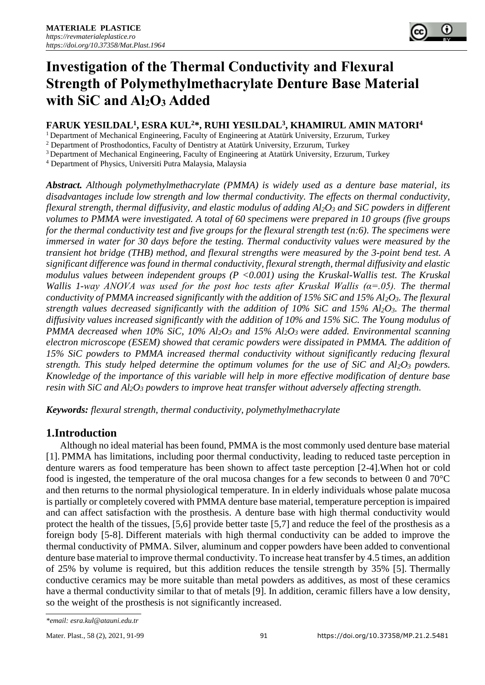# **Investigation of the Thermal Conductivity and Flexural Strength of Polymethylmethacrylate Denture Base Material with SiC and Al2O<sup>3</sup> Added**

## **FARUK YESILDAL<sup>1</sup> , ESRA KUL<sup>2</sup>\*, RUHI YESILDAL<sup>3</sup> , KHAMIRUL AMIN MATORI<sup>4</sup>**

<sup>1</sup>Department of Mechanical Engineering, Faculty of Engineering at Atatürk University, Erzurum, Turkey

<sup>2</sup> Department of Prosthodontics, Faculty of Dentistry at Atatürk University, Erzurum, Turkey

<sup>3</sup> Department of Mechanical Engineering, Faculty of Engineering at Atatürk University, Erzurum, Turkey

<sup>4</sup> Department of Physics, Universiti Putra Malaysia, Malaysia

*Abstract. Although polymethylmethacrylate (PMMA) is widely used as a denture base material, its disadvantages include low strength and low thermal conductivity. The effects on thermal conductivity, flexural strength, thermal diffusivity, and elastic modulus of adding Al2O<sup>3</sup> and SiC powders in different volumes to PMMA were investigated. A total of 60 specimens were prepared in 10 groups (five groups for the thermal conductivity test and five groups for the flexural strength test (n:6). The specimens were immersed in water for 30 days before the testing. Thermal conductivity values were measured by the transient hot bridge (THB) method, and flexural strengths were measured by the 3-point bend test. A significant difference was found in thermal conductivity, flexural strength, thermal diffusivity and elastic modulus values between independent groups (P <0.001) using the Kruskal-Wallis test. The Kruskal Wallis 1-way ANOVA was used for the post hoc tests after Kruskal Wallis (α=.05). The thermal conductivity of PMMA increased significantly with the addition of 15% SiC and 15% Al2O3. The flexural strength values decreased significantly with the addition of 10% SiC and 15% Al2O3. The thermal diffusivity values increased significantly with the addition of 10% and 15% SiC. The Young modulus of PMMA decreased when 10% SiC, 10% Al2O<sup>3</sup> and 15% Al2O3 were added. Environmental scanning electron microscope (ESEM) showed that ceramic powders were dissipated in PMMA. The addition of 15% SiC powders to PMMA increased thermal conductivity without significantly reducing flexural strength. This study helped determine the optimum volumes for the use of SiC and Al2O<sup>3</sup> powders. Knowledge of the importance of this variable will help in more effective modification of denture base resin with SiC and Al2O<sup>3</sup> powders to improve heat transfer without adversely affecting strength.*

*Keywords: flexural strength, thermal conductivity, polymethylmethacrylate*

## **1.Introduction**

Although no ideal material has been found, PMMA is the most commonly used denture base material [1]. PMMA has limitations, including poor thermal conductivity, leading to reduced taste perception in denture warers as food temperature has been shown to affect taste perception [2-4].When hot or cold food is ingested, the temperature of the oral mucosa changes for a few seconds to between 0 and 70°C and then returns to the normal physiological temperature. In in elderly individuals whose palate mucosa is partially or completely covered with PMMA denture base material, temperature perception is impaired and can affect satisfaction with the prosthesis. A denture base with high thermal conductivity would protect the health of the tissues, [5,6] provide better taste [5,7] and reduce the feel of the prosthesis as a foreign body [5-8]. Different materials with high thermal conductivity can be added to improve the thermal conductivity of PMMA. Silver, aluminum and copper powders have been added to conventional denture base material to improve thermal conductivity. To increase heat transfer by 4.5 times, an addition of 25% by volume is required, but this addition reduces the tensile strength by 35% [5]. Thermally conductive ceramics may be more suitable than metal powders as additives, as most of these ceramics have a thermal conductivity similar to that of metals [9]. In addition, ceramic fillers have a low density, so the weight of the prosthesis is not significantly increased.

*<sup>\*</sup>email[: esra.kul@atauni.edu.tr](mailto:esra.kul@atauni.edu.tr)*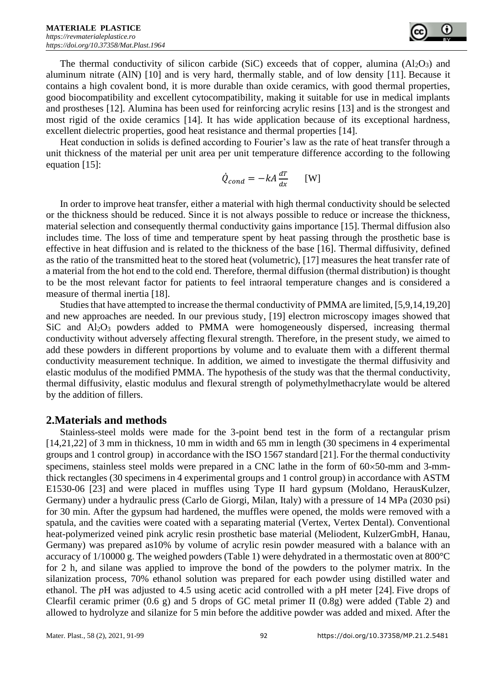

The thermal conductivity of silicon carbide (SiC) exceeds that of copper, alumina  $(A_1_2O_3)$  and aluminum nitrate (AlN) [10] and is very hard, thermally stable, and of low density [11]. Because it contains a high covalent bond, it is more durable than oxide ceramics, with good thermal properties, good biocompatibility and excellent cytocompatibility, making it suitable for use in medical implants and prostheses [12]. Alumina has been used for reinforcing acrylic resins [13] and is the strongest and most rigid of the oxide ceramics [14]. It has wide application because of its exceptional hardness, excellent dielectric properties, good heat resistance and thermal properties [14].

Heat conduction in solids is defined according to Fourier's law as the rate of heat transfer through a unit thickness of the material per unit area per unit temperature difference according to the following equation [15]:

$$
\dot{Q}_{cond} = -kA \frac{dT}{dx} \qquad \text{[W]}
$$

In order to improve heat transfer, either a material with high thermal conductivity should be selected or the thickness should be reduced. Since it is not always possible to reduce or increase the thickness, material selection and consequently thermal conductivity gains importance [15]. Thermal diffusion also includes time. The loss of time and temperature spent by heat passing through the prosthetic base is effective in heat diffusion and is related to the thickness of the base [16]. Thermal diffusivity, defined as the ratio of the transmitted heat to the stored heat (volumetric), [17] measures the heat transfer rate of a material from the hot end to the cold end. Therefore, thermal diffusion (thermal distribution) is thought to be the most relevant factor for patients to feel intraoral temperature changes and is considered a measure of thermal inertia [18].

Studies that have attempted to increase the thermal conductivity of PMMA are limited, [5,9,14,19,20] and new approaches are needed. In our previous study, [19] electron microscopy images showed that SiC and Al<sub>2</sub>O<sub>3</sub> powders added to PMMA were homogeneously dispersed, increasing thermal conductivity without adversely affecting flexural strength. Therefore, in the present study, we aimed to add these powders in different proportions by volume and to evaluate them with a different thermal conductivity measurement technique. In addition, we aimed to investigate the thermal diffusivity and elastic modulus of the modified PMMA. The hypothesis of the study was that the thermal conductivity, thermal diffusivity, elastic modulus and flexural strength of polymethylmethacrylate would be altered by the addition of fillers.

#### **2.Materials and methods**

Stainless-steel molds were made for the 3-point bend test in the form of a rectangular prism [14,21,22] of 3 mm in thickness, 10 mm in width and 65 mm in length (30 specimens in 4 experimental groups and 1 control group) in accordance with the ISO 1567 standard [21]. For the thermal conductivity specimens, stainless steel molds were prepared in a CNC lathe in the form of  $60\times50$ -mm and 3-mmthick rectangles (30 specimens in 4 experimental groups and 1 control group) in accordance with ASTM E1530-06 [23] and were placed in muffles using Type II hard gypsum (Moldano, HerausKulzer, Germany) under a hydraulic press (Carlo de Giorgi, Milan, Italy) with a pressure of 14 MPa (2030 psi) for 30 min. After the gypsum had hardened, the muffles were opened, the molds were removed with a spatula, and the cavities were coated with a separating material (Vertex, Vertex Dental). Conventional heat-polymerized veined pink acrylic resin prosthetic base material (Meliodent, KulzerGmbH, Hanau, Germany) was prepared as10% by volume of acrylic resin powder measured with a balance with an accuracy of 1/10000 g. The weighed powders (Table 1) were dehydrated in a thermostatic oven at 800°C for 2 h, and silane was applied to improve the bond of the powders to the polymer matrix. In the silanization process, 70% ethanol solution was prepared for each powder using distilled water and ethanol. The *p*H was adjusted to 4.5 using acetic acid controlled with a pH meter [24]. Five drops of Clearfil ceramic primer (0.6 g) and 5 drops of GC metal primer II (0.8g) were added (Table 2) and allowed to hydrolyze and silanize for 5 min before the additive powder was added and mixed. After the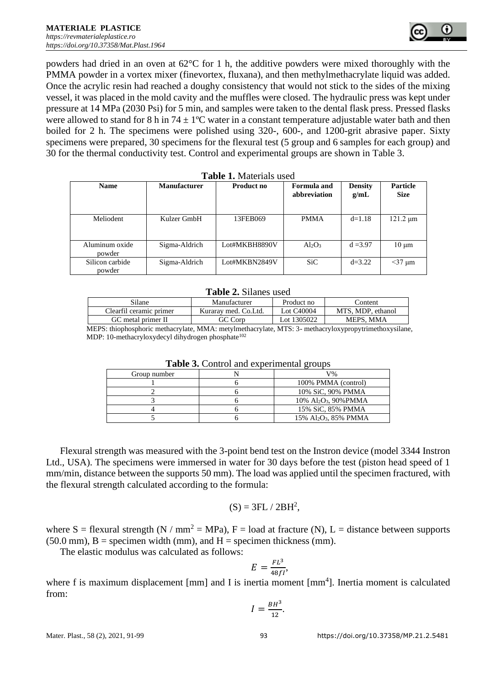powders had dried in an oven at 62°C for 1 h, the additive powders were mixed thoroughly with the PMMA powder in a vortex mixer (finevortex, fluxana), and then methylmethacrylate liquid was added. Once the acrylic resin had reached a doughy consistency that would not stick to the sides of the mixing vessel, it was placed in the mold cavity and the muffles were closed. The hydraulic press was kept under pressure at 14 MPa (2030 Psi) for 5 min, and samples were taken to the dental flask press. Pressed flasks were allowed to stand for 8 h in  $74 \pm 1$ °C water in a constant temperature adjustable water bath and then boiled for 2 h. The specimens were polished using 320-, 600-, and 1200-grit abrasive paper. Sixty specimens were prepared, 30 specimens for the flexural test (5 group and 6 samples for each group) and 30 for the thermal conductivity test. Control and experimental groups are shown in Table 3.

| $\mathbf{1}$ and $\mathbf{1}$ is interested and $\mathbf{0}$ |                     |               |                             |                        |                                |  |
|--------------------------------------------------------------|---------------------|---------------|-----------------------------|------------------------|--------------------------------|--|
| <b>Name</b>                                                  | <b>Manufacturer</b> | Product no    | Formula and<br>abbreviation | <b>Density</b><br>g/mL | <b>Particle</b><br><b>Size</b> |  |
| Meliodent                                                    | Kulzer GmbH         | 13FEB069      | <b>PMMA</b>                 | $d=1.18$               | $121.2 \mu m$                  |  |
| Aluminum oxide<br>powder                                     | Sigma-Aldrich       | Lot#MKBH8890V | $Al_2O_3$                   | $d = 3.97$             | $10 \mu m$                     |  |
| Silicon carbide<br>powder                                    | Sigma-Aldrich       | Lot#MKBN2849V | <b>SiC</b>                  | $d=3.22$               | $<$ 37 µm                      |  |

#### **Table 1.** Materials used

#### **Table 2.** Silanes used

| Silane                  | Manufacturer         | Product no  | ∴ontent           |
|-------------------------|----------------------|-------------|-------------------|
| Clearfil ceramic primer | Kurarav med. Co.Ltd. | Lot C40004  | MTS, MDP, ethanol |
| GC metal primer II      | GC Corp              | Lot 1305022 | <b>MEPS. MMA</b>  |

 MEPS: thiophosphoric methacrylate, MMA: metylmethacrylate, MTS: 3- methacryloxypropytrimethoxysilane, MDP: 10-methacryloxydecyl dihydrogen phosphate<sup>102</sup>

| <b>Table 5:</b> Control and experimental groups |  |                                                  |  |  |  |
|-------------------------------------------------|--|--------------------------------------------------|--|--|--|
| Group number                                    |  | V%                                               |  |  |  |
|                                                 |  | 100% PMMA (control)                              |  |  |  |
|                                                 |  | 10% SiC, 90% PMMA                                |  |  |  |
|                                                 |  | 10% Al <sub>2</sub> O <sub>3</sub> , 90%PMMA     |  |  |  |
|                                                 |  | 15% SiC, 85% PMMA                                |  |  |  |
|                                                 |  | $15\%$ Al <sub>2</sub> O <sub>3</sub> , 85% PMMA |  |  |  |

**Table 3.** Control and experimental groups

Flexural strength was measured with the 3-point bend test on the Instron device (model 3344 Instron Ltd., USA). The specimens were immersed in water for 30 days before the test (piston head speed of 1 mm/min, distance between the supports 50 mm). The load was applied until the specimen fractured, with the flexural strength calculated according to the formula:

$$
(S) = 3FL / 2BH2,
$$

where S = flexural strength (N / mm<sup>2</sup> = MPa), F = load at fracture (N), L = distance between supports  $(50.0 \text{ mm})$ , B = specimen width (mm), and H = specimen thickness (mm).

The elastic modulus was calculated as follows:

$$
E = \frac{FL^3}{48fI}
$$

where f is maximum displacement  $[mm]$  and I is inertia moment  $[mm<sup>4</sup>]$ . Inertia moment is calculated from:

$$
I=\frac{BH^3}{12}.
$$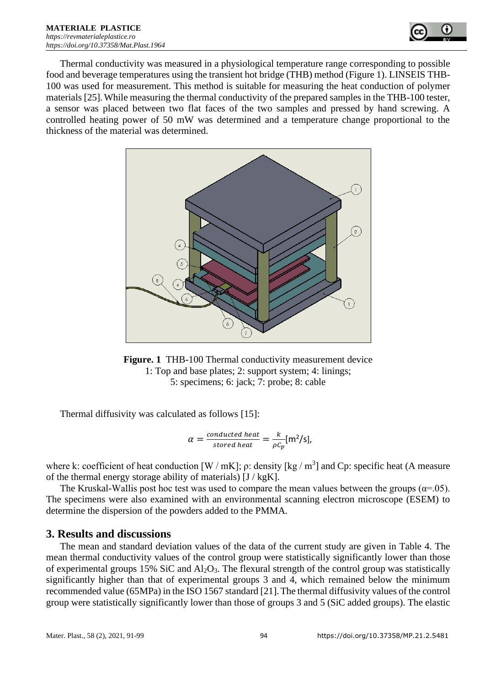

Thermal conductivity was measured in a physiological temperature range corresponding to possible food and beverage temperatures using the transient hot bridge (THB) method (Figure 1). LINSEIS THB-100 was used for measurement. This method is suitable for measuring the heat conduction of polymer materials [25].While measuring the thermal conductivity of the prepared samples in the THB-100 tester, a sensor was placed between two flat faces of the two samples and pressed by hand screwing. A controlled heating power of 50 mW was determined and a temperature change proportional to the thickness of the material was determined.





Thermal diffusivity was calculated as follows [15]:

$$
\alpha = \frac{conducted heat}{stored heat} = \frac{k}{\rho c_p} [m^2/s],
$$

where k: coefficient of heat conduction [W / mK];  $\rho$ : density [kg / m<sup>3</sup>] and Cp: specific heat (A measure of the thermal energy storage ability of materials)  $[J / kgK]$ .

The Kruskal-Wallis post hoc test was used to compare the mean values between the groups ( $\alpha$ =.05). The specimens were also examined with an environmental scanning electron microscope (ESEM) to determine the dispersion of the powders added to the PMMA.

#### **3. Results and discussions**

The mean and standard deviation values of the data of the current study are given in Table 4. The mean thermal conductivity values of the control group were statistically significantly lower than those of experimental groups 15% SiC and  $\text{Al}_2\text{O}_3$ . The flexural strength of the control group was statistically significantly higher than that of experimental groups 3 and 4, which remained below the minimum recommended value (65MPa) in the ISO 1567 standard [21].The thermal diffusivity values of the control group were statistically significantly lower than those of groups 3 and 5 (SiC added groups). The elastic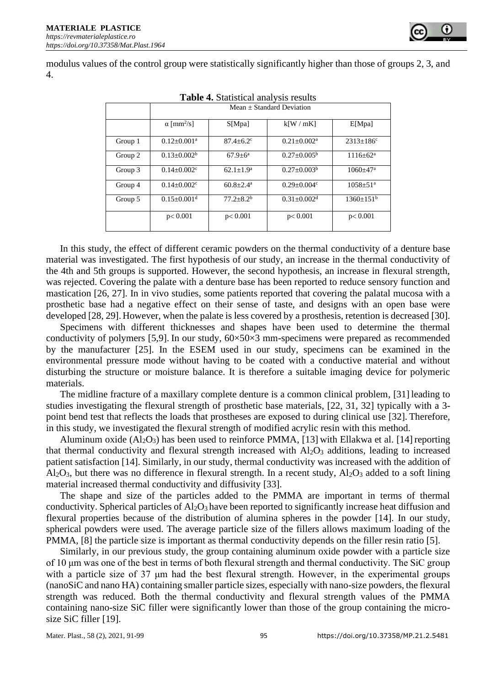modulus values of the control group were statistically significantly higher than those of groups 2, 3, and 4.

| <b>Table 4.</b> Statistical analysis results |                               |                           |                               |                            |  |
|----------------------------------------------|-------------------------------|---------------------------|-------------------------------|----------------------------|--|
|                                              | Mean + Standard Deviation     |                           |                               |                            |  |
|                                              | $\alpha$ [mm <sup>2</sup> /s] | S[Mpa]                    | k[W/mK]                       | E[Mpa]                     |  |
| Group 1                                      | $0.12 + 0.001^a$              | $87.4 + 6.2$ <sup>c</sup> | $0.21 \pm 0.002^a$            | $2313+186^{\circ}$         |  |
| Group 2                                      | $0.13+0.002b$                 | $67.9 + 6^a$              | $0.27+0.005b$                 | $1116+62^a$                |  |
| Group 3                                      | $0.14 + 0.002$ <sup>c</sup>   | $62.1 \pm 1.9^a$          | $0.27 \pm 0.003^b$            | $1060 \pm 47$ <sup>a</sup> |  |
| Group 4                                      | $0.14 + 0.002$ <sup>c</sup>   | $60.8 + 2.4^{\circ}$      | $0.29 + 0.004$ <sup>c</sup>   | $1058 \pm 51$ <sup>a</sup> |  |
| Group 5                                      | $0.15 \pm 0.001$ <sup>d</sup> | $77.2 \pm 8.2^b$          | $0.31 \pm 0.002$ <sup>d</sup> | $1360 \pm 151^b$           |  |
|                                              | p < 0.001                     | p < 0.001                 | p < 0.001                     | p < 0.001                  |  |

In this study, the effect of different ceramic powders on the thermal conductivity of a denture base material was investigated. The first hypothesis of our study, an increase in the thermal conductivity of the 4th and 5th groups is supported. However, the second hypothesis, an increase in flexural strength, was rejected. Covering the palate with a denture base has been reported to reduce sensory function and mastication [26, 27]. In in vivo studies, some patients reported that covering the palatal mucosa with a prosthetic base had a negative effect on their sense of taste, and designs with an open base were developed [28, 29]. However, when the palate is less covered by a prosthesis, retention is decreased [30].

Specimens with different thicknesses and shapes have been used to determine the thermal conductivity of polymers [5,9]. In our study,  $60\times50\times3$  mm-specimens were prepared as recommended by the manufacturer [25]. In the ESEM used in our study, specimens can be examined in the environmental pressure mode without having to be coated with a conductive material and without disturbing the structure or moisture balance. It is therefore a suitable imaging device for polymeric materials.

The midline fracture of a maxillary complete denture is a common clinical problem, [31] leading to studies investigating the flexural strength of prosthetic base materials, [22, 31, 32] typically with a 3 point bend test that reflects the loads that prostheses are exposed to during clinical use [32]. Therefore, in this study, we investigated the flexural strength of modified acrylic resin with this method.

Aluminum oxide  $(Al_2O_3)$  has been used to reinforce PMMA, [13] with Ellakwa et al. [14] reporting that thermal conductivity and flexural strength increased with  $Al_2O_3$  additions, leading to increased patient satisfaction [14]. Similarly, in our study, thermal conductivity was increased with the addition of  $Al_2O_3$ , but there was no difference in flexural strength. In a recent study,  $Al_2O_3$  added to a soft lining material increased thermal conductivity and diffusivity [33].

The shape and size of the particles added to the PMMA are important in terms of thermal conductivity. Spherical particles of  $A<sub>2</sub>O<sub>3</sub>$  have been reported to significantly increase heat diffusion and flexural properties because of the distribution of alumina spheres in the powder [14]. In our study, spherical powders were used. The average particle size of the fillers allows maximum loading of the PMMA, [8] the particle size is important as thermal conductivity depends on the filler resin ratio [5].

Similarly, in our previous study, the group containing aluminum oxide powder with a particle size of 10 μm was one of the best in terms of both flexural strength and thermal conductivity. The SiC group with a particle size of 37 μm had the best flexural strength. However, in the experimental groups (nanoSiC and nano HA) containing smaller particle sizes, especially with nano-size powders, the flexural strength was reduced. Both the thermal conductivity and flexural strength values of the PMMA containing nano-size SiC filler were significantly lower than those of the group containing the microsize SiC filler [19].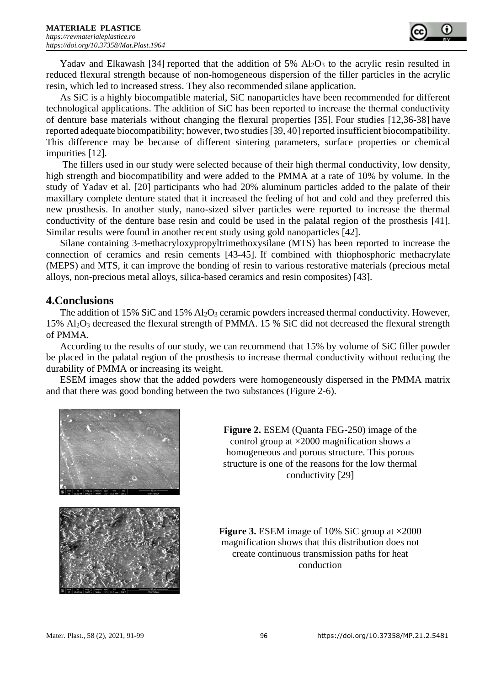Yadav and Elkawash [34] reported that the addition of  $5\%$  Al<sub>2</sub>O<sub>3</sub> to the acrylic resin resulted in reduced flexural strength because of non-homogeneous dispersion of the filler particles in the acrylic resin, which led to increased stress. They also recommended silane application.

As SiC is a highly biocompatible material, SiC nanoparticles have been recommended for different technological applications. The addition of SiC has been reported to increase the thermal conductivity of denture base materials without changing the flexural properties [35]. Four studies [12,36-38] have reported adequate biocompatibility; however, two studies [39, 40] reported insufficient biocompatibility. This difference may be because of different sintering parameters, surface properties or chemical impurities [12].

The fillers used in our study were selected because of their high thermal conductivity, low density, high strength and biocompatibility and were added to the PMMA at a rate of 10% by volume. In the study of Yadav et al. [20] participants who had 20% aluminum particles added to the palate of their maxillary complete denture stated that it increased the feeling of hot and cold and they preferred this new prosthesis. In another study, nano-sized silver particles were reported to increase the thermal conductivity of the denture base resin and could be used in the palatal region of the prosthesis [41]. Similar results were found in another recent study using gold nanoparticles [42].

Silane containing 3-methacryloxypropyltrimethoxysilane (MTS) has been reported to increase the connection of ceramics and resin cements [43-45]. If combined with thiophosphoric methacrylate (MEPS) and MTS, it can improve the bonding of resin to various restorative materials (precious metal alloys, non-precious metal alloys, silica-based ceramics and resin composites) [43].

### **4.Conclusions**

The addition of 15% SiC and 15%  $Al_2O_3$  ceramic powders increased thermal conductivity. However, 15% Al2O<sup>3</sup> decreased the flexural strength of PMMA. 15 % SiC did not decreased the flexural strength of PMMA.

According to the results of our study, we can recommend that 15% by volume of SiC filler powder be placed in the palatal region of the prosthesis to increase thermal conductivity without reducing the durability of PMMA or increasing its weight.

ESEM images show that the added powders were homogeneously dispersed in the PMMA matrix and that there was good bonding between the two substances (Figure 2-6).



**Figure 2.** ESEM (Quanta FEG-250) image of the control group at ×2000 magnification shows a homogeneous and porous structure. This porous structure is one of the reasons for the low thermal conductivity [29]

**Figure 3.** ESEM image of 10% SiC group at  $\times$ 2000 magnification shows that this distribution does not create continuous transmission paths for heat conduction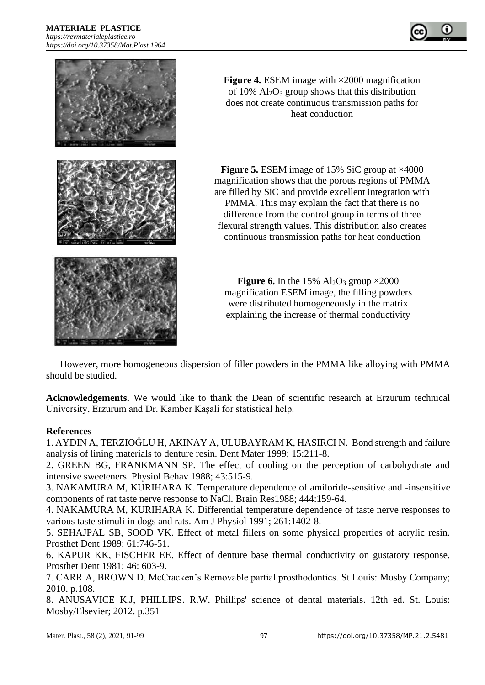



**Figure 4.** ESEM image with ×2000 magnification of  $10\%$  Al<sub>2</sub>O<sub>3</sub> group shows that this distribution does not create continuous transmission paths for heat conduction

**Figure 5.** ESEM image of 15% SiC group at ×4000 magnification shows that the porous regions of PMMA are filled by SiC and provide excellent integration with PMMA. This may explain the fact that there is no difference from the control group in terms of three flexural strength values. This distribution also creates continuous transmission paths for heat conduction

**Figure 6.** In the 15%  $Al_2O_3$  group  $\times 2000$ magnification ESEM image, the filling powders were distributed homogeneously in the matrix explaining the increase of thermal conductivity

However, more homogeneous dispersion of filler powders in the PMMA like alloying with PMMA should be studied.

**Acknowledgements.** We would like to thank the Dean of scientific research at Erzurum technical University, Erzurum and Dr. Kamber Kaşali for statistical help.

#### **References**

1. AYDIN A, TERZIOĞLU H, AKINAY A, ULUBAYRAM K, HASIRCI N. Bond strength and failure analysis of lining materials to denture resin. Dent Mater 1999; 15:211-8.

2. GREEN BG, FRANKMANN SP. The effect of cooling on the perception of carbohydrate and intensive sweeteners. Physiol Behav 1988; 43:515-9.

3. NAKAMURA M, KURIHARA K. Temperature dependence of amiloride-sensitive and -insensitive components of rat taste nerve response to NaCl. Brain Res1988; 444:159-64.

4. NAKAMURA M, KURIHARA K. Differential temperature dependence of taste nerve responses to various taste stimuli in dogs and rats. Am J Physiol 1991; 261:1402-8.

5. SEHAJPAL SB, SOOD VK. Effect of metal fillers on some physical properties of acrylic resin. Prosthet Dent 1989; 61:746-51.

6. KAPUR KK, FISCHER EE. Effect of denture base thermal conductivity on gustatory response. Prosthet Dent 1981; 46: 603-9.

7. CARR A, BROWN D. McCracken's Removable partial prosthodontics*.* St Louis: Mosby Company; 2010. p.108.

8. ANUSAVICE K.J, PHILLIPS. R.W. Phillips' science of dental materials. 12th ed. St. Louis: Mosby/Elsevier; 2012. p.351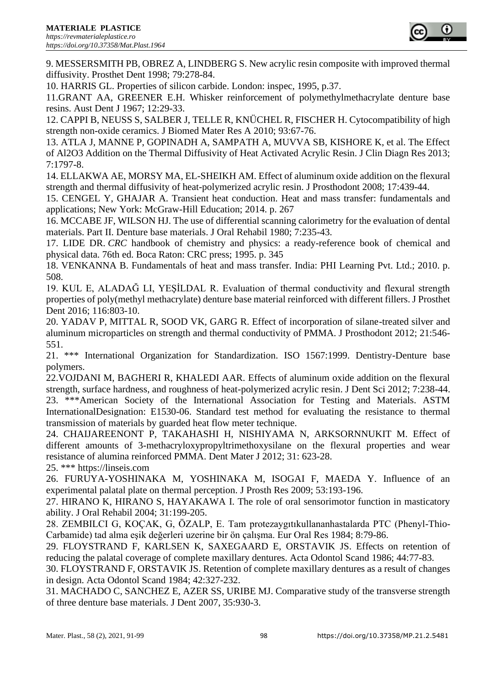

9. MESSERSMITH PB, OBREZ A, LINDBERG S. New acrylic resin composite with improved thermal diffusivity. Prosthet Dent 1998; 79:278-84.

10. HARRIS GL. Properties of silicon carbide. London: inspec, 1995, p.37.

11.GRANT AA, GREENER E.H. Whisker reinforcement of polymethylmethacrylate denture base resins. Aust Dent J 1967; 12:29-33.

12. CAPPI B, NEUSS S, SALBER J, TELLE R, KNÜCHEL R, FISCHER H. Cytocompatibility of high strength non-oxide ceramics. J Biomed Mater Res A 2010; 93:67-76.

13. ATLA J, MANNE P, GOPINADH A, SAMPATH A, MUVVA SB, KISHORE K, et al. The Effect of Al2O3 Addition on the Thermal Diffusivity of Heat Activated Acrylic Resin. J Clin Diagn Res 2013; 7:1797-8.

14. ELLAKWA AE, MORSY MA, EL-SHEIKH AM. Effect of aluminum oxide addition on the flexural strength and thermal diffusivity of heat-polymerized acrylic resin. J Prosthodont 2008; 17:439-44.

15. CENGEL Y, GHAJAR A. Transient heat conduction. Heat and mass transfer: fundamentals and applications; New York: McGraw-Hill Education; 2014. p. 267

16. MCCABE JF, WILSON HJ. The use of differential scanning calorimetry for the evaluation of dental materials. Part II. Denture base materials. J Oral Rehabil 1980; 7:235-43.

17. LIDE DR. *CRC* handbook of chemistry and physics: a ready-reference book of chemical and physical data. 76th ed. Boca Raton: CRC press; 1995. p. 345

18. VENKANNA B. Fundamentals of heat and mass transfer. India: PHI Learning Pvt. Ltd.; 2010. p. 508.

19. KUL E, ALADAĞ LI, YEŞİLDAL R. Evaluation of thermal conductivity and flexural strength properties of poly(methyl methacrylate) denture base material reinforced with different fillers. J Prosthet Dent 2016; 116:803-10.

20. YADAV P, MITTAL R, SOOD VK, GARG R. Effect of incorporation of silane-treated silver and aluminum microparticles on strength and thermal conductivity of PMMA. J Prosthodont 2012; 21:546- 551.

21. \*\*\* International Organization for Standardization. ISO 1567:1999. Dentistry-Denture base polymers.

22.VOJDANI M, BAGHERI R, KHALEDI AAR. Effects of aluminum oxide addition on the flexural strength, surface hardness, and roughness of heat-polymerized acrylic resin. J Dent Sci 2012; 7:238-44. 23. \*\*\*American Society of the International Association for Testing and Materials. ASTM InternationalDesignation: E1530-06. Standard test method for evaluating the resistance to thermal transmission of materials by guarded heat flow meter technique.

24. CHAIJAREENONT P, TAKAHASHI H, NISHIYAMA N, ARKSORNNUKIT M. Effect of different amounts of 3-methacryloxypropyltrimethoxysilane on the flexural properties and wear resistance of alumina reinforced PMMA. Dent Mater J 2012; 31: 623-28.

25. \*\*\* [https://linseis.com](https://linseis.com/)

26. FURUYA-YOSHINAKA M, YOSHINAKA M, ISOGAI F, MAEDA Y. Influence of an experimental palatal plate on thermal perception. J Prosth Res 2009; 53:193-196.

27. HIRANO K, HIRANO S, HAYAKAWA I. The role of oral sensorimotor function in masticatory ability. J Oral Rehabil 2004; 31:199-205.

28. ZEMBILCI G, KOÇAK, G, ÖZALP, E. Tam protezaygıtıkullananhastalarda PTC (Phenyl-Thio-Carbamide) tad alma eşik değerleri uzerine bir ön çalışma. Eur Oral Res 1984; 8:79-86.

29. FLOYSTRAND F, KARLSEN K, SAXEGAARD E, ORSTAVIK JS. Effects on retention of reducing the palatal coverage of complete maxillary dentures. Acta Odontol Scand 1986; 44:77-83.

30. FLOYSTRAND F, ORSTAVIK JS. Retention of complete maxillary dentures as a result of changes in design. Acta Odontol Scand 1984; 42:327-232.

31. MACHADO C, SANCHEZ E, AZER SS, URIBE MJ. Comparative study of the transverse strength of three denture base materials. J Dent 2007, 35:930-3.